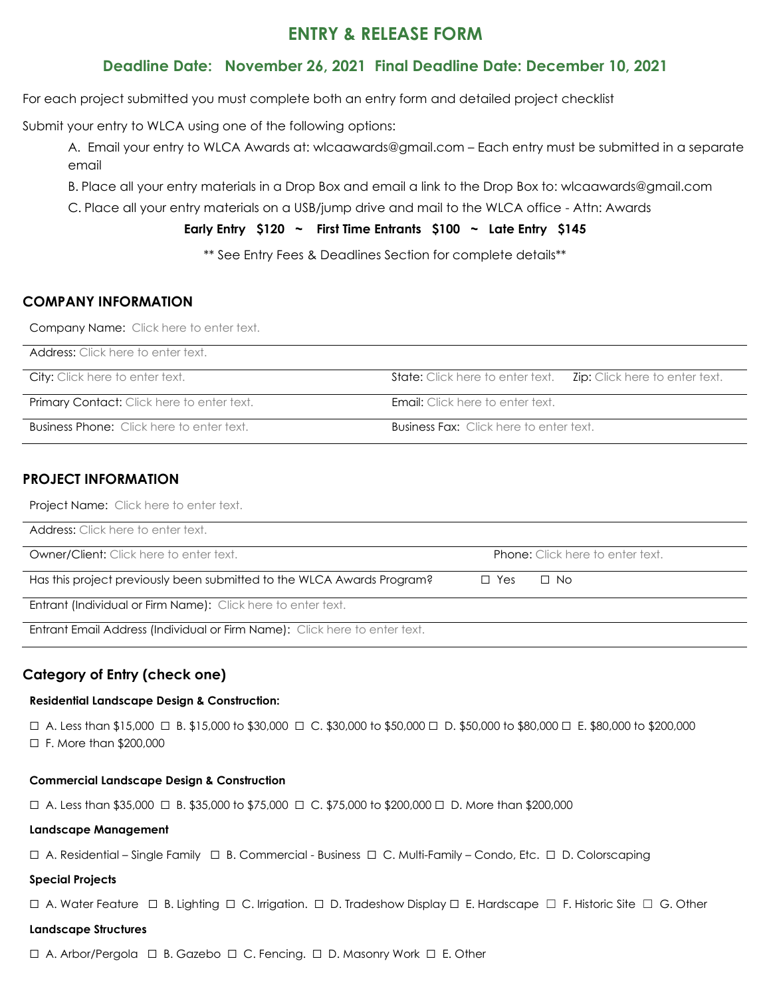# **ENTRY & RELEASE FORM**

# **Deadline Date: November 26, 2021 Final Deadline Date: December 10, 2021**

For each project submitted you must complete both an entry form and detailed project checklist

Submit your entry to WLCA using one of the following options:

A. Email your entry to WLCA Awards at: wlcaawards@gmail.com – Each entry must be submitted in a separate email

B. Place all your entry materials in a Drop Box and email a link to the Drop Box to: wlcaawards@gmail.com

C. Place all your entry materials on a USB/jump drive and mail to the WLCA office - Attn: Awards

## **Early Entry \$120 ~ First Time Entrants \$100 ~ Late Entry \$145**

\*\* See Entry Fees & Deadlines Section for complete details\*\*

## **COMPANY INFORMATION**

Company Name: Click here to enter text.

| <b>Address:</b> Click here to enter text.        |                                                                               |
|--------------------------------------------------|-------------------------------------------------------------------------------|
| <b>City:</b> Click here to enter text.           | <b>State:</b> Click here to enter text. <b>Zip:</b> Click here to enter text. |
| Primary Contact: Click here to enter text.       | <b>Email:</b> Click here to enter text.                                       |
| <b>Business Phone:</b> Click here to enter text. | <b>Business Fax:</b> Click here to enter text.                                |

## **PROJECT INFORMATION**

Project Name: Click here to enter text.

Address: Click here to enter text.

Owner/Client: Click here to enter text. Phone: Click here to enter text.

Has this project previously been submitted to the WLCA Awards Program? □ Yes □ No

Entrant (Individual or Firm Name): Click here to enter text.

Entrant Email Address (Individual or Firm Name): Click here to enter text.

# **Category of Entry (check one)**

## **Residential Landscape Design & Construction:**

☐ A. Less than \$15,000 ☐ B. \$15,000 to \$30,000 ☐ C. \$30,000 to \$50,000 ☐ D. \$50,000 to \$80,000 ☐ E. \$80,000 to \$200,000 ☐ F. More than \$200,000

## **Commercial Landscape Design & Construction**

☐ A. Less than \$35,000 ☐ B. \$35,000 to \$75,000 ☐ C. \$75,000 to \$200,000 ☐ D. More than \$200,000

### **Landscape Management**

☐ A. Residential – Single Family ☐ B. Commercial - Business ☐ C. Multi-Family – Condo, Etc. ☐ D. Colorscaping

### **Special Projects**

☐ A. Water Feature ☐ B. Lighting ☐ C. Irrigation. ☐ D. Tradeshow Display ☐ E. Hardscape ☐ F. Historic Site ☐ G. Other

### **Landscape Structures**

☐ A. Arbor/Pergola ☐ B. Gazebo ☐ C. Fencing. ☐ D. Masonry Work ☐ E. Other